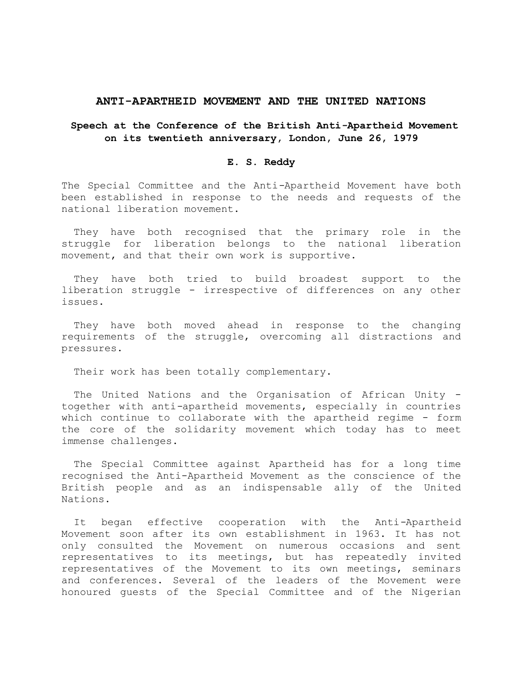#### **ANTI-APARTHEID MOVEMENT AND THE UNITED NATIONS**

# **Speech at the Conference of the British Anti***-***Apartheid Movement on its twentieth anniversary, London, June 26, 1979**

## **E. S. Reddy**

The Special Committee and the Anti*-*Apartheid Movement have both been established in response to the needs and requests of the national liberation movement.

They have both recognised that the primary role in the struggle for liberation belongs to the national liberation movement, and that their own work is supportive.

They have both tried to build broadest support to the liberation struggle - irrespective of differences on any other issues.

They have both moved ahead in response to the changing requirements of the struggle, overcoming all distractions and pressures.

Their work has been totally complementary.

The United Nations and the Organisation of African Unity together with anti*-*apartheid movements, especially in countries which continue to collaborate with the apartheid regime - form the core of the solidarity movement which today has to meet immense challenges.

The Special Committee against Apartheid has for a long time recognised the Anti-Apartheid Movement as the conscience of the British people and as an indispensable ally of the United Nations.

It began effective cooperation with the Anti*-*Apartheid Movement soon after its own establishment in 1963. It has not only consulted the Movement on numerous occasions and sent representatives to its meetings, but has repeatedly invited representatives of the Movement to its own meetings, seminars and conferences. Several of the leaders of the Movement were honoured guests of the Special Committee and of the Nigerian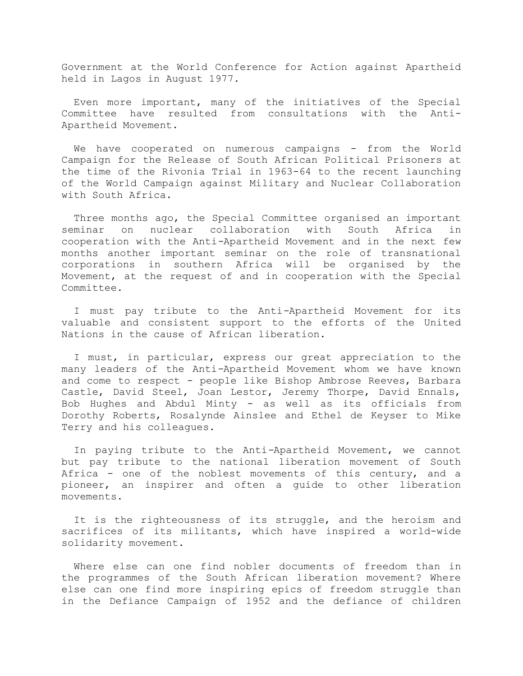Government at the World Conference for Action against Apartheid held in Lagos in August 1977.

Even more important, many of the initiatives of the Special Committee have resulted from consultations with the Anti-Apartheid Movement.

We have cooperated on numerous campaigns - from the World Campaign for the Release of South African Political Prisoners at the time of the Rivonia Trial in 1963-64 to the recent launching of the World Campaign against Military and Nuclear Collaboration with South Africa.

Three months ago, the Special Committee organised an important seminar on nuclear collaboration with South Africa in cooperation with the Anti*-*Apartheid Movement and in the next few months another important seminar on the role of transnational corporations in southern Africa will be organised by the Movement, at the request of and in cooperation with the Special Committee.

I must pay tribute to the Anti*-*Apartheid Movement for its valuable and consistent support to the efforts of the United Nations in the cause of African liberation.

I must, in particular, express our great appreciation to the many leaders of the Anti*-*Apartheid Movement whom we have known and come to respect - people like Bishop Ambrose Reeves, Barbara Castle, David Steel, Joan Lestor, Jeremy Thorpe, David Ennals, Bob Hughes and Abdul Minty - as well as its officials from Dorothy Roberts, Rosalynde Ainslee and Ethel de Keyser to Mike Terry and his colleagues.

In paying tribute to the Anti*-*Apartheid Movement, we cannot but pay tribute to the national liberation movement of South Africa - one of the noblest movements of this century, and a pioneer, an inspirer and often a guide to other liberation movements.

It is the righteousness of its struggle, and the heroism and sacrifices of its militants, which have inspired a world-wide solidarity movement.

Where else can one find nobler documents of freedom than in the programmes of the South African liberation movement? Where else can one find more inspiring epics of freedom struggle than in the Defiance Campaign of 1952 and the defiance of children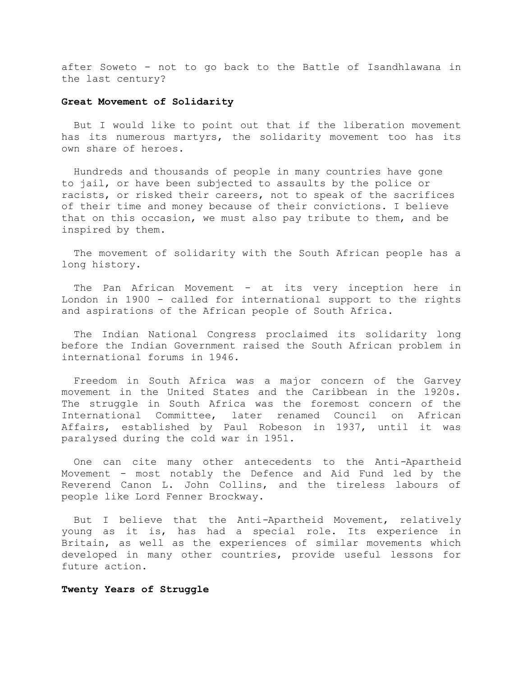after Soweto - not to go back to the Battle of Isandhlawana in the last century?

#### **Great Movement of Solidarity**

But I would like to point out that if the liberation movement has its numerous martyrs, the solidarity movement too has its own share of heroes.

 Hundreds and thousands of people in many countries have gone to jail, or have been subjected to assaults by the police or racists, or risked their careers, not to speak of the sacrifices of their time and money because of their convictions. I believe that on this occasion, we must also pay tribute to them, and be inspired by them.

The movement of solidarity with the South African people has a long history.

The Pan African Movement - at its very inception here in London in 1900 - called for international support to the rights and aspirations of the African people of South Africa.

The Indian National Congress proclaimed its solidarity long before the Indian Government raised the South African problem in international forums in 1946.

Freedom in South Africa was a major concern of the Garvey movement in the United States and the Caribbean in the 1920s. The struggle in South Africa was the foremost concern of the International Committee, later renamed Council on African Affairs, established by Paul Robeson in 1937, until it was paralysed during the cold war in 1951.

One can cite many other antecedents to the Anti*-*Apartheid Movement - most notably the Defence and Aid Fund led by the Reverend Canon L. John Collins, and the tireless labours of people like Lord Fenner Brockway.

But I believe that the Anti*-*Apartheid Movement, relatively young as it is, has had a special role. Its experience in Britain, as well as the experiences of similar movements which developed in many other countries, provide useful lessons for future action.

## **Twenty Years of Struggle**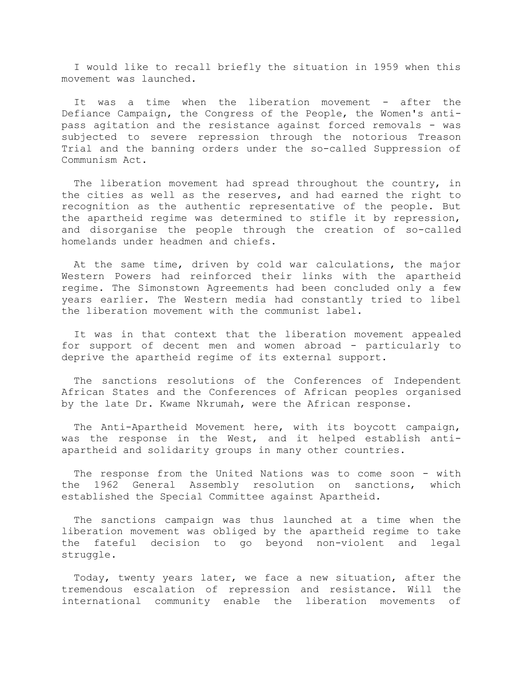I would like to recall briefly the situation in 1959 when this movement was launched.

It was a time when the liberation movement - after the Defiance Campaign, the Congress of the People, the Women's antipass agitation and the resistance against forced removals - was subjected to severe repression through the notorious Treason Trial and the banning orders under the so-called Suppression of Communism Act.

The liberation movement had spread throughout the country, in the cities as well as the reserves, and had earned the right to recognition as the authentic representative of the people. But the apartheid regime was determined to stifle it by repression, and disorganise the people through the creation of so-called homelands under headmen and chiefs.

At the same time, driven by cold war calculations, the major Western Powers had reinforced their links with the apartheid regime. The Simonstown Agreements had been concluded only a few years earlier. The Western media had constantly tried to libel the liberation movement with the communist label.

It was in that context that the liberation movement appealed for support of decent men and women abroad - particularly to deprive the apartheid regime of its external support.

The sanctions resolutions of the Conferences of Independent African States and the Conferences of African peoples organised by the late Dr. Kwame Nkrumah, were the African response.

The Anti-Apartheid Movement here, with its boycott campaign, was the response in the West, and it helped establish antiapartheid and solidarity groups in many other countries.

The response from the United Nations was to come soon - with the 1962 General Assembly resolution on sanctions, which established the Special Committee against Apartheid*.*

The sanctions campaign was thus launched at a time when the liberation movement was obliged by the apartheid regime to take the fateful decision to go beyond non-violent and legal struggle.

Today, twenty years later, we face a new situation, after the tremendous escalation of repression and resistance. Will the international community enable the liberation movements of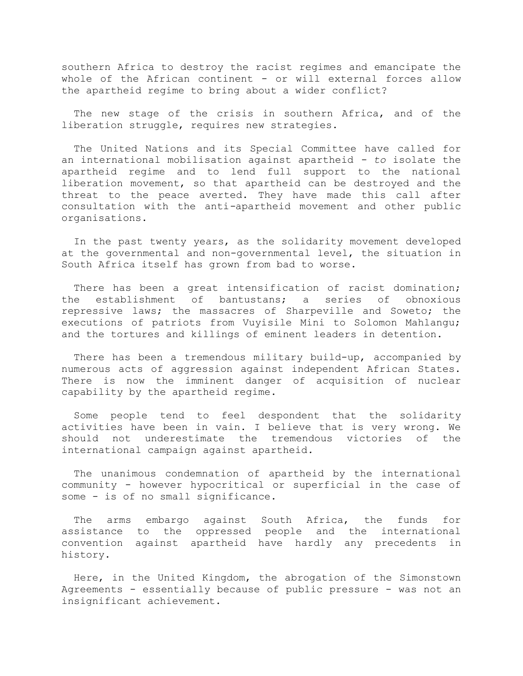southern Africa to destroy the racist regimes and emancipate the whole of the African continent - or will external forces allow the apartheid regime to bring about a wider conflict?

The new stage of the crisis in southern Africa, and of the liberation struggle, requires new strategies.

The United Nations and its Special Committee have called for an international mobilisation against apartheid *- to* isolate the apartheid regime and to lend full support to the national liberation movement, so that apartheid can be destroyed and the threat to the peace averted. They have made this call after consultation with the anti*-*apartheid movement and other public organisations.

In the past twenty years, as the solidarity movement developed at the governmental and non-governmental level, the situation in South Africa itself has grown from bad to worse.

There has been a great intensification of racist domination; the establishment of bantustans; a series of obnoxious repressive laws; the massacres of Sharpeville and Soweto; the executions of patriots from Vuyisile Mini to Solomon Mahlangu; and the tortures and killings of eminent leaders in detention.

There has been a tremendous military build-up, accompanied by numerous acts of aggression against independent African States. There is now the imminent danger of acquisition of nuclear capability by the apartheid regime.

Some people tend to feel despondent that the solidarity activities have been in vain. I believe that is very wrong. We should not underestimate the tremendous victories of the international campaign against apartheid*.*

The unanimous condemnation of apartheid by the international community - however hypocritical or superficial in the case of some - is of no small significance.

The arms embargo against South Africa, the funds for assistance to the oppressed people and the international convention against apartheid have hardly any precedents in history.

Here, in the United Kingdom, the abrogation of the Simonstown Agreements - essentially because of public pressure - was not an insignificant achievement.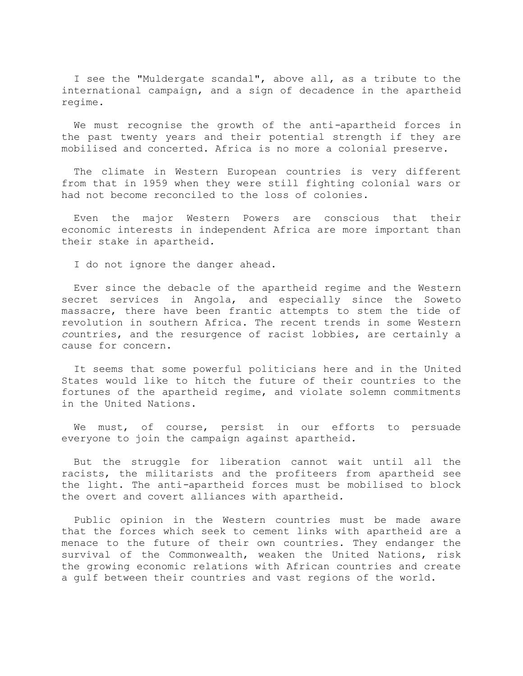I see the "Muldergate scandal", above all, as a tribute to the international campaign, and a sign of decadence in the apartheid regime.

We must recognise the growth of the anti*-*apartheid forces in the past twenty years and their potential strength if they are mobilised and concerted. Africa is no more a colonial preserve.

The climate in Western European countries is very different from that in 1959 when they were still fighting colonial wars or had not become reconciled to the loss of colonies.

Even the major Western Powers are conscious that their economic interests in independent Africa are more important than their stake in apartheid*.*

I do not ignore the danger ahead.

Ever since the debacle of the apartheid regime and the Western secret services in Angola, and especially since the Soweto massacre, there have been frantic attempts to stem the tide of revolution in southern Africa. The recent trends in some Western *co*untries, and the resurgence of racist lobbies, are certainly a cause for concern.

It seems that some powerful politicians here and in the United States would like to hitch the future of their countries to the fortunes of the apartheid regime, and violate solemn commitments in the United Nations.

We must, of course, persist in our efforts to persuade everyone to join the campaign against apartheid*.*

But the struggle for liberation cannot wait until all the racists, the militarists and the profiteers from apartheid see the light. The anti*-*apartheid forces must be mobilised to block the overt and covert alliances with apartheid*.*

Public opinion in the Western countries must be made aware that the forces which seek to cement links with apartheid are a menace to the future of their own countries. They endanger the survival of the Commonwealth, weaken the United Nations, risk the growing economic relations with African countries and create a gulf between their countries and vast regions of the world.